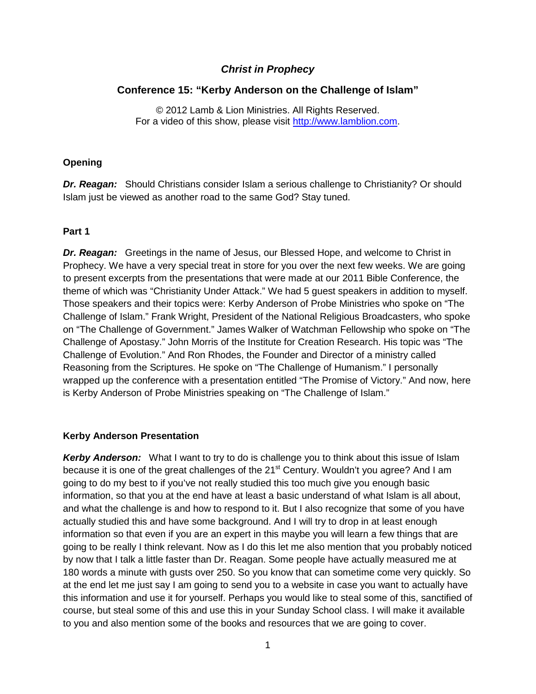# *Christ in Prophecy*

# **Conference 15: "Kerby Anderson on the Challenge of Islam"**

© 2012 Lamb & Lion Ministries. All Rights Reserved. For a video of this show, please visit [http://www.lamblion.com.](http://www.lamblion.com/)

### **Opening**

*Dr. Reagan:* Should Christians consider Islam a serious challenge to Christianity? Or should Islam just be viewed as another road to the same God? Stay tuned.

### **Part 1**

*Dr. Reagan:* Greetings in the name of Jesus, our Blessed Hope, and welcome to Christ in Prophecy. We have a very special treat in store for you over the next few weeks. We are going to present excerpts from the presentations that were made at our 2011 Bible Conference, the theme of which was "Christianity Under Attack." We had 5 guest speakers in addition to myself. Those speakers and their topics were: Kerby Anderson of Probe Ministries who spoke on "The Challenge of Islam." Frank Wright, President of the National Religious Broadcasters, who spoke on "The Challenge of Government." James Walker of Watchman Fellowship who spoke on "The Challenge of Apostasy." John Morris of the Institute for Creation Research. His topic was "The Challenge of Evolution." And Ron Rhodes, the Founder and Director of a ministry called Reasoning from the Scriptures. He spoke on "The Challenge of Humanism." I personally wrapped up the conference with a presentation entitled "The Promise of Victory." And now, here is Kerby Anderson of Probe Ministries speaking on "The Challenge of Islam."

### **Kerby Anderson Presentation**

**Kerby Anderson:** What I want to try to do is challenge you to think about this issue of Islam because it is one of the great challenges of the 21<sup>st</sup> Century. Wouldn't you agree? And I am going to do my best to if you've not really studied this too much give you enough basic information, so that you at the end have at least a basic understand of what Islam is all about, and what the challenge is and how to respond to it. But I also recognize that some of you have actually studied this and have some background. And I will try to drop in at least enough information so that even if you are an expert in this maybe you will learn a few things that are going to be really I think relevant. Now as I do this let me also mention that you probably noticed by now that I talk a little faster than Dr. Reagan. Some people have actually measured me at 180 words a minute with gusts over 250. So you know that can sometime come very quickly. So at the end let me just say I am going to send you to a website in case you want to actually have this information and use it for yourself. Perhaps you would like to steal some of this, sanctified of course, but steal some of this and use this in your Sunday School class. I will make it available to you and also mention some of the books and resources that we are going to cover.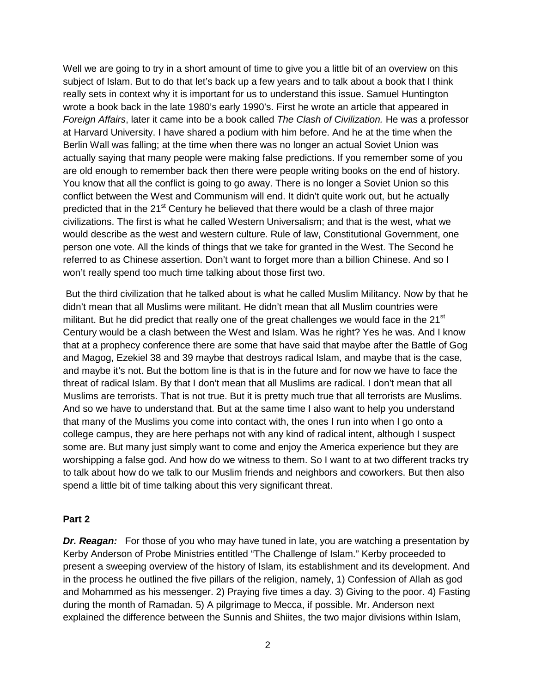Well we are going to try in a short amount of time to give you a little bit of an overview on this subject of Islam. But to do that let's back up a few years and to talk about a book that I think really sets in context why it is important for us to understand this issue. Samuel Huntington wrote a book back in the late 1980's early 1990's. First he wrote an article that appeared in *Foreign Affairs*, later it came into be a book called *The Clash of Civilization.* He was a professor at Harvard University. I have shared a podium with him before. And he at the time when the Berlin Wall was falling; at the time when there was no longer an actual Soviet Union was actually saying that many people were making false predictions. If you remember some of you are old enough to remember back then there were people writing books on the end of history. You know that all the conflict is going to go away. There is no longer a Soviet Union so this conflict between the West and Communism will end. It didn't quite work out, but he actually predicted that in the 21<sup>st</sup> Century he believed that there would be a clash of three major civilizations. The first is what he called Western Universalism; and that is the west, what we would describe as the west and western culture. Rule of law, Constitutional Government, one person one vote. All the kinds of things that we take for granted in the West. The Second he referred to as Chinese assertion. Don't want to forget more than a billion Chinese. And so I won't really spend too much time talking about those first two.

But the third civilization that he talked about is what he called Muslim Militancy. Now by that he didn't mean that all Muslims were militant. He didn't mean that all Muslim countries were militant. But he did predict that really one of the great challenges we would face in the  $21<sup>st</sup>$ Century would be a clash between the West and Islam. Was he right? Yes he was. And I know that at a prophecy conference there are some that have said that maybe after the Battle of Gog and Magog, Ezekiel 38 and 39 maybe that destroys radical Islam, and maybe that is the case, and maybe it's not. But the bottom line is that is in the future and for now we have to face the threat of radical Islam. By that I don't mean that all Muslims are radical. I don't mean that all Muslims are terrorists. That is not true. But it is pretty much true that all terrorists are Muslims. And so we have to understand that. But at the same time I also want to help you understand that many of the Muslims you come into contact with, the ones I run into when I go onto a college campus, they are here perhaps not with any kind of radical intent, although I suspect some are. But many just simply want to come and enjoy the America experience but they are worshipping a false god. And how do we witness to them. So I want to at two different tracks try to talk about how do we talk to our Muslim friends and neighbors and coworkers. But then also spend a little bit of time talking about this very significant threat.

#### **Part 2**

*Dr. Reagan:* For those of you who may have tuned in late, you are watching a presentation by Kerby Anderson of Probe Ministries entitled "The Challenge of Islam." Kerby proceeded to present a sweeping overview of the history of Islam, its establishment and its development. And in the process he outlined the five pillars of the religion, namely, 1) Confession of Allah as god and Mohammed as his messenger. 2) Praying five times a day. 3) Giving to the poor. 4) Fasting during the month of Ramadan. 5) A pilgrimage to Mecca, if possible. Mr. Anderson next explained the difference between the Sunnis and Shiites, the two major divisions within Islam,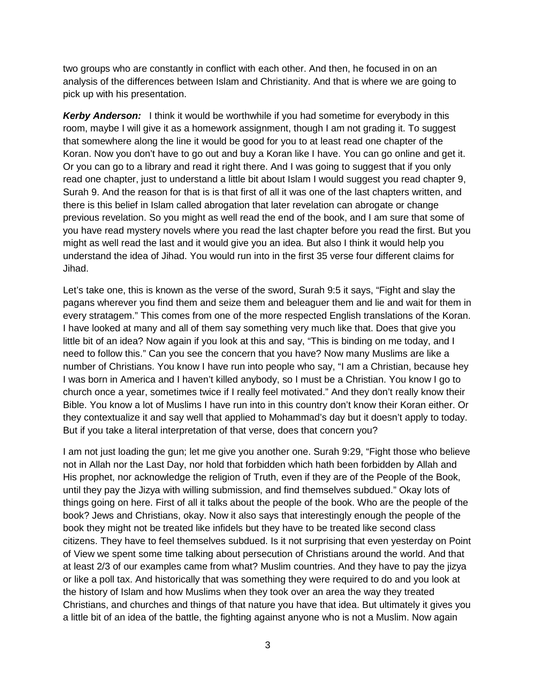two groups who are constantly in conflict with each other. And then, he focused in on an analysis of the differences between Islam and Christianity. And that is where we are going to pick up with his presentation.

*Kerby Anderson:* I think it would be worthwhile if you had sometime for everybody in this room, maybe I will give it as a homework assignment, though I am not grading it. To suggest that somewhere along the line it would be good for you to at least read one chapter of the Koran. Now you don't have to go out and buy a Koran like I have. You can go online and get it. Or you can go to a library and read it right there. And I was going to suggest that if you only read one chapter, just to understand a little bit about Islam I would suggest you read chapter 9, Surah 9. And the reason for that is is that first of all it was one of the last chapters written, and there is this belief in Islam called abrogation that later revelation can abrogate or change previous revelation. So you might as well read the end of the book, and I am sure that some of you have read mystery novels where you read the last chapter before you read the first. But you might as well read the last and it would give you an idea. But also I think it would help you understand the idea of Jihad. You would run into in the first 35 verse four different claims for Jihad.

Let's take one, this is known as the verse of the sword, Surah 9:5 it says, "Fight and slay the pagans wherever you find them and seize them and beleaguer them and lie and wait for them in every stratagem." This comes from one of the more respected English translations of the Koran. I have looked at many and all of them say something very much like that. Does that give you little bit of an idea? Now again if you look at this and say, "This is binding on me today, and I need to follow this." Can you see the concern that you have? Now many Muslims are like a number of Christians. You know I have run into people who say, "I am a Christian, because hey I was born in America and I haven't killed anybody, so I must be a Christian. You know I go to church once a year, sometimes twice if I really feel motivated." And they don't really know their Bible. You know a lot of Muslims I have run into in this country don't know their Koran either. Or they contextualize it and say well that applied to Mohammad's day but it doesn't apply to today. But if you take a literal interpretation of that verse, does that concern you?

I am not just loading the gun; let me give you another one. Surah 9:29, "Fight those who believe not in Allah nor the Last Day, nor hold that forbidden which hath been forbidden by Allah and His prophet, nor acknowledge the religion of Truth, even if they are of the People of the Book, until they pay the Jizya with willing submission, and find themselves subdued." Okay lots of things going on here. First of all it talks about the people of the book. Who are the people of the book? Jews and Christians, okay. Now it also says that interestingly enough the people of the book they might not be treated like infidels but they have to be treated like second class citizens. They have to feel themselves subdued. Is it not surprising that even yesterday on Point of View we spent some time talking about persecution of Christians around the world. And that at least 2/3 of our examples came from what? Muslim countries. And they have to pay the jizya or like a poll tax. And historically that was something they were required to do and you look at the history of Islam and how Muslims when they took over an area the way they treated Christians, and churches and things of that nature you have that idea. But ultimately it gives you a little bit of an idea of the battle, the fighting against anyone who is not a Muslim. Now again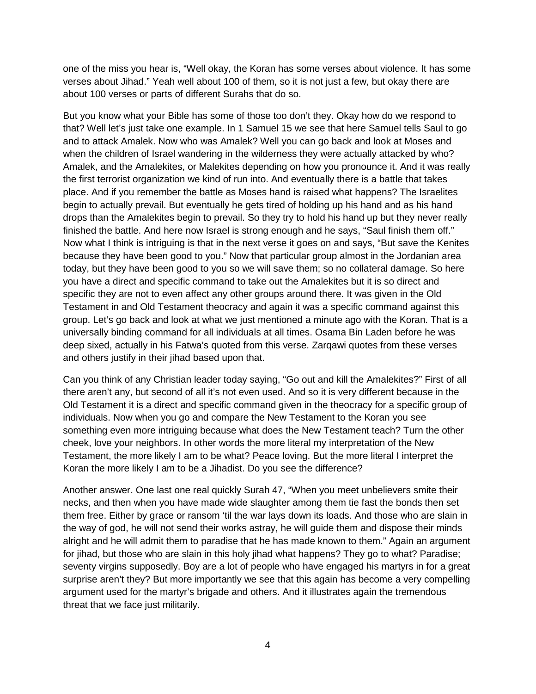one of the miss you hear is, "Well okay, the Koran has some verses about violence. It has some verses about Jihad." Yeah well about 100 of them, so it is not just a few, but okay there are about 100 verses or parts of different Surahs that do so.

But you know what your Bible has some of those too don't they. Okay how do we respond to that? Well let's just take one example. In 1 Samuel 15 we see that here Samuel tells Saul to go and to attack Amalek. Now who was Amalek? Well you can go back and look at Moses and when the children of Israel wandering in the wilderness they were actually attacked by who? Amalek, and the Amalekites, or Malekites depending on how you pronounce it. And it was really the first terrorist organization we kind of run into. And eventually there is a battle that takes place. And if you remember the battle as Moses hand is raised what happens? The Israelites begin to actually prevail. But eventually he gets tired of holding up his hand and as his hand drops than the Amalekites begin to prevail. So they try to hold his hand up but they never really finished the battle. And here now Israel is strong enough and he says, "Saul finish them off." Now what I think is intriguing is that in the next verse it goes on and says, "But save the Kenites because they have been good to you." Now that particular group almost in the Jordanian area today, but they have been good to you so we will save them; so no collateral damage. So here you have a direct and specific command to take out the Amalekites but it is so direct and specific they are not to even affect any other groups around there. It was given in the Old Testament in and Old Testament theocracy and again it was a specific command against this group. Let's go back and look at what we just mentioned a minute ago with the Koran. That is a universally binding command for all individuals at all times. Osama Bin Laden before he was deep sixed, actually in his Fatwa's quoted from this verse. Zarqawi quotes from these verses and others justify in their jihad based upon that.

Can you think of any Christian leader today saying, "Go out and kill the Amalekites?" First of all there aren't any, but second of all it's not even used. And so it is very different because in the Old Testament it is a direct and specific command given in the theocracy for a specific group of individuals. Now when you go and compare the New Testament to the Koran you see something even more intriguing because what does the New Testament teach? Turn the other cheek, love your neighbors. In other words the more literal my interpretation of the New Testament, the more likely I am to be what? Peace loving. But the more literal I interpret the Koran the more likely I am to be a Jihadist. Do you see the difference?

Another answer. One last one real quickly Surah 47, "When you meet unbelievers smite their necks, and then when you have made wide slaughter among them tie fast the bonds then set them free. Either by grace or ransom 'til the war lays down its loads. And those who are slain in the way of god, he will not send their works astray, he will guide them and dispose their minds alright and he will admit them to paradise that he has made known to them." Again an argument for jihad, but those who are slain in this holy jihad what happens? They go to what? Paradise; seventy virgins supposedly. Boy are a lot of people who have engaged his martyrs in for a great surprise aren't they? But more importantly we see that this again has become a very compelling argument used for the martyr's brigade and others. And it illustrates again the tremendous threat that we face just militarily.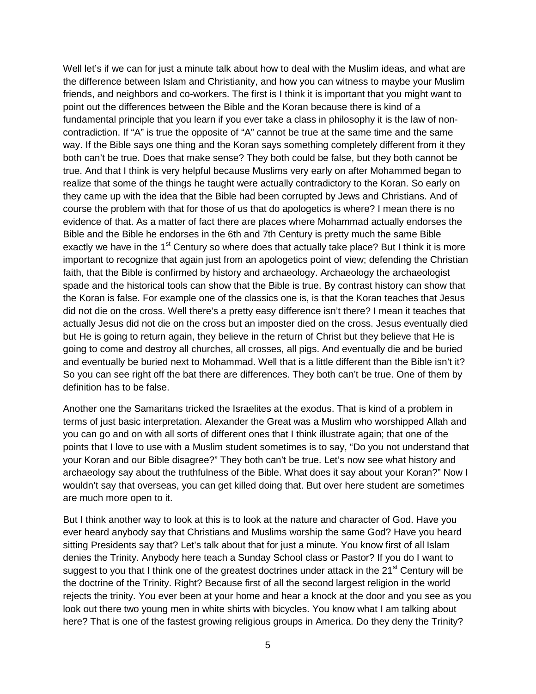Well let's if we can for just a minute talk about how to deal with the Muslim ideas, and what are the difference between Islam and Christianity, and how you can witness to maybe your Muslim friends, and neighbors and co-workers. The first is I think it is important that you might want to point out the differences between the Bible and the Koran because there is kind of a fundamental principle that you learn if you ever take a class in philosophy it is the law of noncontradiction. If "A" is true the opposite of "A" cannot be true at the same time and the same way. If the Bible says one thing and the Koran says something completely different from it they both can't be true. Does that make sense? They both could be false, but they both cannot be true. And that I think is very helpful because Muslims very early on after Mohammed began to realize that some of the things he taught were actually contradictory to the Koran. So early on they came up with the idea that the Bible had been corrupted by Jews and Christians. And of course the problem with that for those of us that do apologetics is where? I mean there is no evidence of that. As a matter of fact there are places where Mohammad actually endorses the Bible and the Bible he endorses in the 6th and 7th Century is pretty much the same Bible exactly we have in the 1<sup>st</sup> Century so where does that actually take place? But I think it is more important to recognize that again just from an apologetics point of view; defending the Christian faith, that the Bible is confirmed by history and archaeology. Archaeology the archaeologist spade and the historical tools can show that the Bible is true. By contrast history can show that the Koran is false. For example one of the classics one is, is that the Koran teaches that Jesus did not die on the cross. Well there's a pretty easy difference isn't there? I mean it teaches that actually Jesus did not die on the cross but an imposter died on the cross. Jesus eventually died but He is going to return again, they believe in the return of Christ but they believe that He is going to come and destroy all churches, all crosses, all pigs. And eventually die and be buried and eventually be buried next to Mohammad. Well that is a little different than the Bible isn't it? So you can see right off the bat there are differences. They both can't be true. One of them by definition has to be false.

Another one the Samaritans tricked the Israelites at the exodus. That is kind of a problem in terms of just basic interpretation. Alexander the Great was a Muslim who worshipped Allah and you can go and on with all sorts of different ones that I think illustrate again; that one of the points that I love to use with a Muslim student sometimes is to say, "Do you not understand that your Koran and our Bible disagree?" They both can't be true. Let's now see what history and archaeology say about the truthfulness of the Bible. What does it say about your Koran?" Now I wouldn't say that overseas, you can get killed doing that. But over here student are sometimes are much more open to it.

But I think another way to look at this is to look at the nature and character of God. Have you ever heard anybody say that Christians and Muslims worship the same God? Have you heard sitting Presidents say that? Let's talk about that for just a minute. You know first of all Islam denies the Trinity. Anybody here teach a Sunday School class or Pastor? If you do I want to suggest to you that I think one of the greatest doctrines under attack in the  $21<sup>st</sup>$  Century will be the doctrine of the Trinity. Right? Because first of all the second largest religion in the world rejects the trinity. You ever been at your home and hear a knock at the door and you see as you look out there two young men in white shirts with bicycles. You know what I am talking about here? That is one of the fastest growing religious groups in America. Do they deny the Trinity?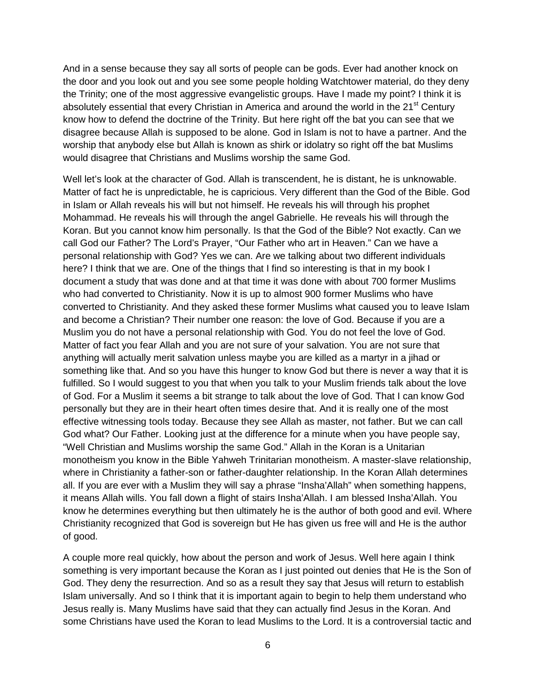And in a sense because they say all sorts of people can be gods. Ever had another knock on the door and you look out and you see some people holding Watchtower material, do they deny the Trinity; one of the most aggressive evangelistic groups. Have I made my point? I think it is absolutely essential that every Christian in America and around the world in the 21<sup>st</sup> Century know how to defend the doctrine of the Trinity. But here right off the bat you can see that we disagree because Allah is supposed to be alone. God in Islam is not to have a partner. And the worship that anybody else but Allah is known as shirk or idolatry so right off the bat Muslims would disagree that Christians and Muslims worship the same God.

Well let's look at the character of God. Allah is transcendent, he is distant, he is unknowable. Matter of fact he is unpredictable, he is capricious. Very different than the God of the Bible. God in Islam or Allah reveals his will but not himself. He reveals his will through his prophet Mohammad. He reveals his will through the angel Gabrielle. He reveals his will through the Koran. But you cannot know him personally. Is that the God of the Bible? Not exactly. Can we call God our Father? The Lord's Prayer, "Our Father who art in Heaven." Can we have a personal relationship with God? Yes we can. Are we talking about two different individuals here? I think that we are. One of the things that I find so interesting is that in my book I document a study that was done and at that time it was done with about 700 former Muslims who had converted to Christianity. Now it is up to almost 900 former Muslims who have converted to Christianity. And they asked these former Muslims what caused you to leave Islam and become a Christian? Their number one reason: the love of God. Because if you are a Muslim you do not have a personal relationship with God. You do not feel the love of God. Matter of fact you fear Allah and you are not sure of your salvation. You are not sure that anything will actually merit salvation unless maybe you are killed as a martyr in a jihad or something like that. And so you have this hunger to know God but there is never a way that it is fulfilled. So I would suggest to you that when you talk to your Muslim friends talk about the love of God. For a Muslim it seems a bit strange to talk about the love of God. That I can know God personally but they are in their heart often times desire that. And it is really one of the most effective witnessing tools today. Because they see Allah as master, not father. But we can call God what? Our Father. Looking just at the difference for a minute when you have people say, "Well Christian and Muslims worship the same God." Allah in the Koran is a Unitarian monotheism you know in the Bible Yahweh Trinitarian monotheism. A master-slave relationship, where in Christianity a father-son or father-daughter relationship. In the Koran Allah determines all. If you are ever with a Muslim they will say a phrase "Insha'Allah" when something happens, it means Allah wills. You fall down a flight of stairs Insha'Allah. I am blessed Insha'Allah. You know he determines everything but then ultimately he is the author of both good and evil. Where Christianity recognized that God is sovereign but He has given us free will and He is the author of good.

A couple more real quickly, how about the person and work of Jesus. Well here again I think something is very important because the Koran as I just pointed out denies that He is the Son of God. They deny the resurrection. And so as a result they say that Jesus will return to establish Islam universally. And so I think that it is important again to begin to help them understand who Jesus really is. Many Muslims have said that they can actually find Jesus in the Koran. And some Christians have used the Koran to lead Muslims to the Lord. It is a controversial tactic and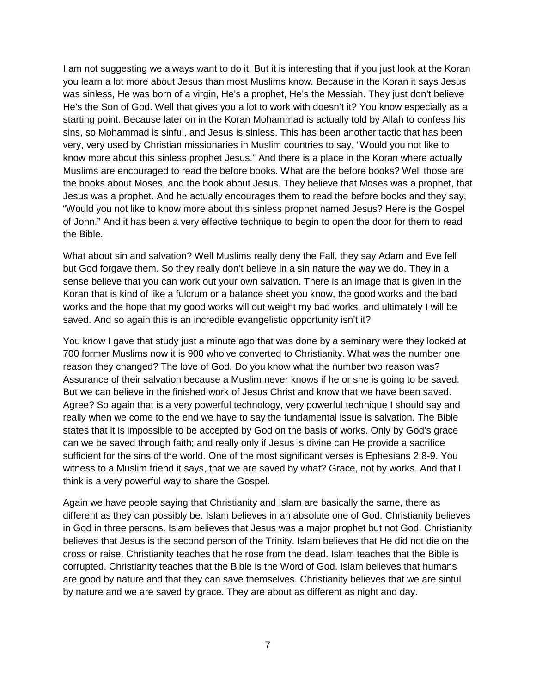I am not suggesting we always want to do it. But it is interesting that if you just look at the Koran you learn a lot more about Jesus than most Muslims know. Because in the Koran it says Jesus was sinless, He was born of a virgin, He's a prophet, He's the Messiah. They just don't believe He's the Son of God. Well that gives you a lot to work with doesn't it? You know especially as a starting point. Because later on in the Koran Mohammad is actually told by Allah to confess his sins, so Mohammad is sinful, and Jesus is sinless. This has been another tactic that has been very, very used by Christian missionaries in Muslim countries to say, "Would you not like to know more about this sinless prophet Jesus." And there is a place in the Koran where actually Muslims are encouraged to read the before books. What are the before books? Well those are the books about Moses, and the book about Jesus. They believe that Moses was a prophet, that Jesus was a prophet. And he actually encourages them to read the before books and they say, "Would you not like to know more about this sinless prophet named Jesus? Here is the Gospel of John." And it has been a very effective technique to begin to open the door for them to read the Bible.

What about sin and salvation? Well Muslims really deny the Fall, they say Adam and Eve fell but God forgave them. So they really don't believe in a sin nature the way we do. They in a sense believe that you can work out your own salvation. There is an image that is given in the Koran that is kind of like a fulcrum or a balance sheet you know, the good works and the bad works and the hope that my good works will out weight my bad works, and ultimately I will be saved. And so again this is an incredible evangelistic opportunity isn't it?

You know I gave that study just a minute ago that was done by a seminary were they looked at 700 former Muslims now it is 900 who've converted to Christianity. What was the number one reason they changed? The love of God. Do you know what the number two reason was? Assurance of their salvation because a Muslim never knows if he or she is going to be saved. But we can believe in the finished work of Jesus Christ and know that we have been saved. Agree? So again that is a very powerful technology, very powerful technique I should say and really when we come to the end we have to say the fundamental issue is salvation. The Bible states that it is impossible to be accepted by God on the basis of works. Only by God's grace can we be saved through faith; and really only if Jesus is divine can He provide a sacrifice sufficient for the sins of the world. One of the most significant verses is Ephesians 2:8-9. You witness to a Muslim friend it says, that we are saved by what? Grace, not by works. And that I think is a very powerful way to share the Gospel.

Again we have people saying that Christianity and Islam are basically the same, there as different as they can possibly be. Islam believes in an absolute one of God. Christianity believes in God in three persons. Islam believes that Jesus was a major prophet but not God. Christianity believes that Jesus is the second person of the Trinity. Islam believes that He did not die on the cross or raise. Christianity teaches that he rose from the dead. Islam teaches that the Bible is corrupted. Christianity teaches that the Bible is the Word of God. Islam believes that humans are good by nature and that they can save themselves. Christianity believes that we are sinful by nature and we are saved by grace. They are about as different as night and day.